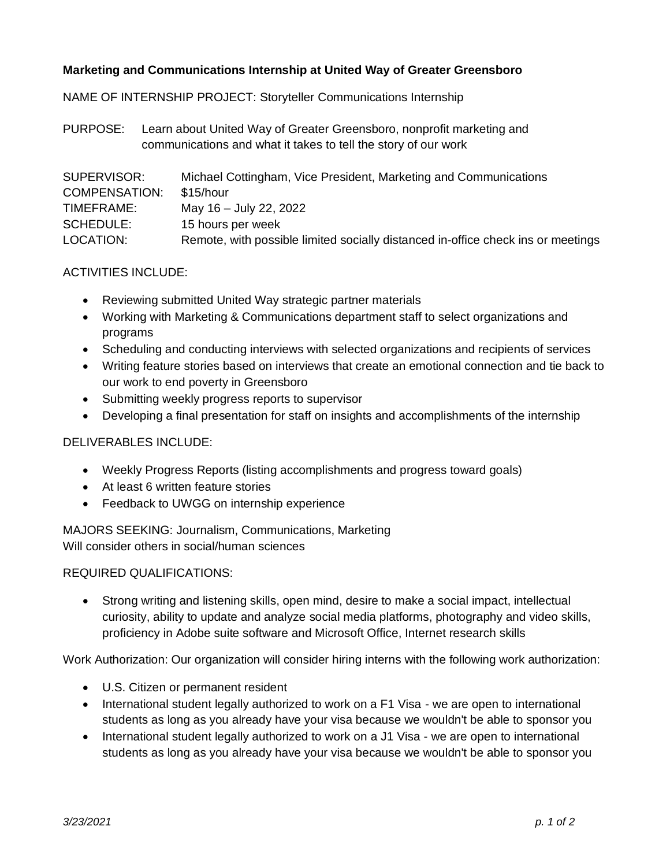## **Marketing and Communications Internship at United Way of Greater Greensboro**

NAME OF INTERNSHIP PROJECT: Storyteller Communications Internship

PURPOSE: Learn about United Way of Greater Greensboro, nonprofit marketing and communications and what it takes to tell the story of our work

| SUPERVISOR:          | Michael Cottingham, Vice President, Marketing and Communications                 |
|----------------------|----------------------------------------------------------------------------------|
| <b>COMPENSATION:</b> | \$15/hour                                                                        |
| TIMEFRAME:           | May 16 - July 22, 2022                                                           |
| <b>SCHEDULE:</b>     | 15 hours per week                                                                |
| LOCATION:            | Remote, with possible limited socially distanced in-office check ins or meetings |

## ACTIVITIES INCLUDE:

- Reviewing submitted United Way strategic partner materials
- Working with Marketing & Communications department staff to select organizations and programs
- Scheduling and conducting interviews with selected organizations and recipients of services
- Writing feature stories based on interviews that create an emotional connection and tie back to our work to end poverty in Greensboro
- Submitting weekly progress reports to supervisor
- Developing a final presentation for staff on insights and accomplishments of the internship

## DELIVERABLES INCLUDE:

- Weekly Progress Reports (listing accomplishments and progress toward goals)
- At least 6 written feature stories
- Feedback to UWGG on internship experience

MAJORS SEEKING: Journalism, Communications, Marketing Will consider others in social/human sciences

## REQUIRED QUALIFICATIONS:

• Strong writing and listening skills, open mind, desire to make a social impact, intellectual curiosity, ability to update and analyze social media platforms, photography and video skills, proficiency in Adobe suite software and Microsoft Office, Internet research skills

Work Authorization: Our organization will consider hiring interns with the following work authorization:

- U.S. Citizen or permanent resident
- International student legally authorized to work on a F1 Visa we are open to international students as long as you already have your visa because we wouldn't be able to sponsor you
- International student legally authorized to work on a J1 Visa we are open to international students as long as you already have your visa because we wouldn't be able to sponsor you